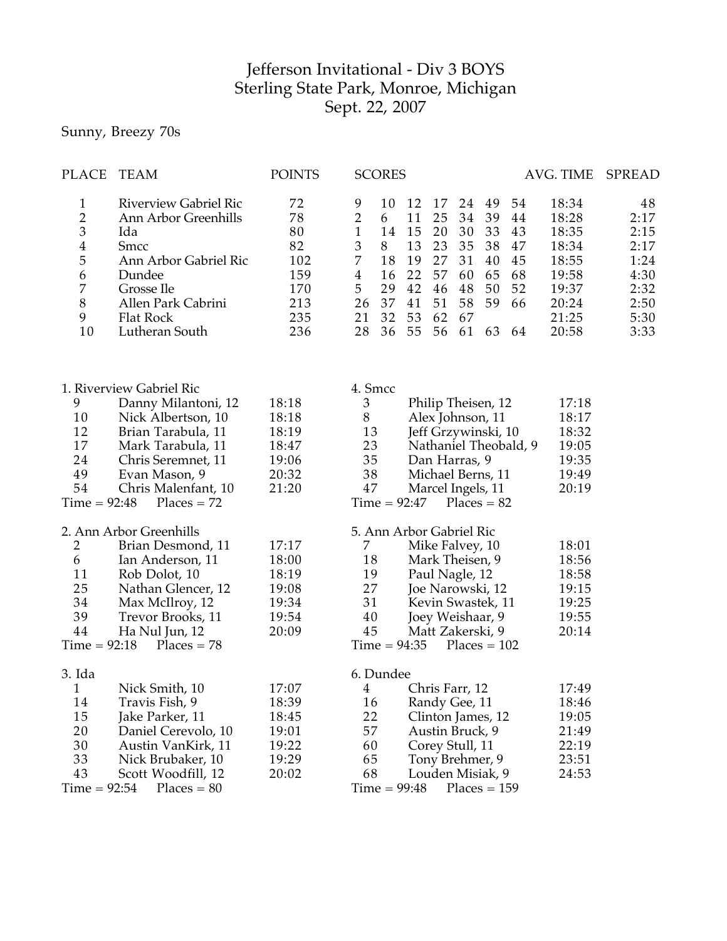## Jefferson Invitational - Div 3 BOYS Sterling State Park, Monroe, Michigan Sept. 22, 2007

## Sunny, Breezy 70s

| <b>PLACE</b>                                                        | TEAM                                                                                                                                                                                            | <b>POINTS</b>                                                  | <b>SCORES</b><br>AVG. TIME                                                                                                                                                                                                                                                                                                                                                                                                                                                                                                                             | SPREAD                                                                     |
|---------------------------------------------------------------------|-------------------------------------------------------------------------------------------------------------------------------------------------------------------------------------------------|----------------------------------------------------------------|--------------------------------------------------------------------------------------------------------------------------------------------------------------------------------------------------------------------------------------------------------------------------------------------------------------------------------------------------------------------------------------------------------------------------------------------------------------------------------------------------------------------------------------------------------|----------------------------------------------------------------------------|
| $\mathbf{1}$<br>23456<br>$\overline{7}$<br>$\,8$<br>9<br>10         | <b>Riverview Gabriel Ric</b><br>Ann Arbor Greenhills<br>Ida<br><b>Smcc</b><br>Ann Arbor Gabriel Ric<br>Dundee<br>Grosse Ile<br>Allen Park Cabrini<br>Flat Rock<br>Lutheran South                | 72<br>78<br>80<br>82<br>102<br>159<br>170<br>213<br>235<br>236 | 9<br>12<br>18:34<br>10<br>17<br>24<br>49<br>54<br>$\overline{2}$<br>39<br>11<br>25<br>34<br>18:28<br>6<br>44<br>$\mathbf{1}$<br>14<br>15<br>20<br>30<br>33<br>18:35<br>43<br>$\mathfrak 3$<br>13<br>8<br>23<br>35<br>38<br>18:34<br>47<br>7<br>18<br>19<br>27<br>31<br>40<br>45<br>18:55<br>22<br>$\overline{4}$<br>57<br>60<br>65<br>68<br>16<br>19:58<br>5<br>42<br>29<br>46<br>48<br>50<br>52<br>19:37<br>26<br>37<br>51<br>58<br>59<br>66<br>41<br>20:24<br>32<br>21<br>53<br>62<br>67<br>21:25<br>28<br>55<br>61<br>63<br>36<br>56<br>20:58<br>64 | 48<br>2:17<br>2:15<br>2:17<br>1:24<br>4:30<br>2:32<br>2:50<br>5:30<br>3:33 |
| 9<br>10<br>12<br>17<br>24<br>49<br>54<br>$Time = 92:48$             | 1. Riverview Gabriel Ric<br>Danny Milantoni, 12<br>Nick Albertson, 10<br>Brian Tarabula, 11<br>Mark Tarabula, 11<br>Chris Seremnet, 11<br>Evan Mason, 9<br>Chris Malenfant, 10<br>$Places = 72$ | 18:18<br>18:18<br>18:19<br>18:47<br>19:06<br>20:32<br>21:20    | 4. Smcc<br>3<br>Philip Theisen, 12<br>$8\,$<br>Alex Johnson, 11<br>13<br>Jeff Grzywinski, 10<br>23<br>Nathaniel Theobald, 9<br>35<br>Dan Harras, 9<br>38<br>Michael Berns, 11<br>47<br>Marcel Ingels, 11<br>$Time = 92:47$<br>$Places = 82$                                                                                                                                                                                                                                                                                                            | 17:18<br>18:17<br>18:32<br>19:05<br>19:35<br>19:49<br>20:19                |
| $\overline{2}$<br>6<br>11<br>25<br>34<br>39<br>44<br>$Time = 92:18$ | 2. Ann Arbor Greenhills<br>Brian Desmond, 11<br>Ian Anderson, 11<br>Rob Dolot, 10<br>Nathan Glencer, 12<br>Max McIlroy, 12<br>Trevor Brooks, 11<br>Ha Nul Jun, 12<br>$Places = 78$              | 17:17<br>18:00<br>18:19<br>19:08<br>19:34<br>19:54<br>20:09    | 5. Ann Arbor Gabriel Ric<br>Mike Falvey, 10<br>7<br>Mark Theisen, 9<br>18<br>19<br>Paul Nagle, 12<br>27<br>Joe Narowski, 12<br>31<br>Kevin Swastek, 11<br>Joey Weishaar, 9<br>40<br>45<br>Matt Zakerski, 9<br>$Time = 94:35$<br>$Places = 102$                                                                                                                                                                                                                                                                                                         | 18:01<br>18:56<br>18:58<br>19:15<br>19:25<br>19:55<br>20:14                |
| 3. Ida<br>1<br>14<br>15<br>20<br>30<br>33<br>43<br>$Time = 92:54$   | Nick Smith, 10<br>Travis Fish, 9<br>Jake Parker, 11<br>Daniel Cerevolo, 10<br>Austin VanKirk, 11<br>Nick Brubaker, 10<br>Scott Woodfill, 12<br>$Places = 80$                                    | 17:07<br>18:39<br>18:45<br>19:01<br>19:22<br>19:29<br>20:02    | 6. Dundee<br>Chris Farr, 12<br>4<br>16<br>Randy Gee, 11<br>22<br>Clinton James, 12<br>57<br>Austin Bruck, 9<br>60<br>Corey Stull, 11<br>65<br>Tony Brehmer, 9<br>68<br>Louden Misiak, 9<br>$Time = 99:48$<br>$Places = 159$                                                                                                                                                                                                                                                                                                                            | 17:49<br>18:46<br>19:05<br>21:49<br>22:19<br>23:51<br>24:53                |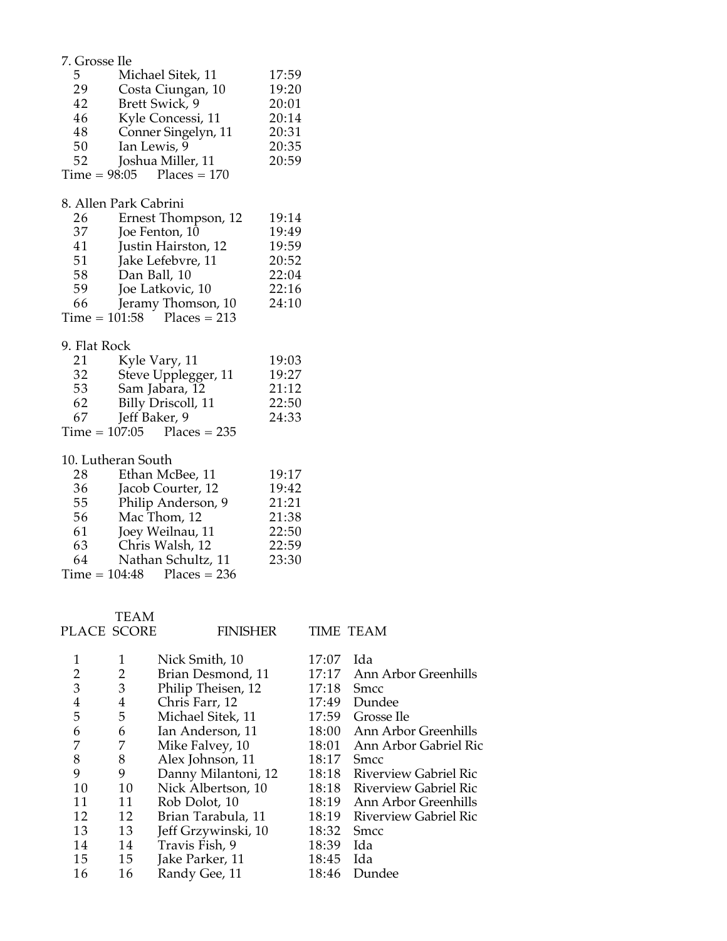| 7. Grosse Ile                           |                              |       |
|-----------------------------------------|------------------------------|-------|
| 5 <sup>5</sup>                          | Michael Sitek, 11            | 17:59 |
| 29                                      | Costa Ciungan, 10            | 19:20 |
| 42                                      | Brett Swick, 9               | 20:01 |
| 46                                      | Kyle Concessi, 11            | 20:14 |
| 48                                      | Conner Singelyn, 11          | 20:31 |
| 50                                      | Ian Lewis, 9                 | 20:35 |
| 52                                      | Joshua Miller, 11            | 20:59 |
|                                         | $Time = 98:05$ Places = 170  |       |
|                                         | 8. Allen Park Cabrini        |       |
| 26                                      | Ernest Thompson, 12          | 19:14 |
| 37                                      | Joe Fenton, 10               | 19:49 |
| 41                                      | Justin Hairston, 12          | 19:59 |
| 51                                      | Jake Lefebvre, 11            | 20:52 |
| 58                                      | Dan Ball, 10                 | 22:04 |
| 59                                      | Joe Latkovic, 10             | 22:16 |
| 66 —                                    | Jeramy Thomson, 10           | 24:10 |
|                                         | $Time = 101:58$ Places = 213 |       |
| 9. Flat Rock                            |                              |       |
| $\frac{21}{32}$                         | Kyle Vary, 11                | 19:03 |
|                                         | Steve Upplegger, 11          | 19:27 |
| 53                                      | Sam Jabara, 12               | 21:12 |
| $\begin{array}{c} 62 \\ 67 \end{array}$ | Billy Driscoll, 11           | 22:50 |
|                                         | Jeff Baker, 9                | 24:33 |
|                                         | $Time = 107:05$ Places = 235 |       |
|                                         | 10. Lutheran South           |       |
| 28                                      | Ethan McBee, 11              | 19:17 |
| 36                                      | Jacob Courter, 12            | 19:42 |
| $\frac{55}{55}$                         | Philip Anderson, 9           | 21:21 |
| 56                                      | Mac Thom, 12                 | 21:38 |
| 61                                      | Joey Weilnau, 11             | 22:50 |
| 63                                      | Chris Walsh, 12              | 22:59 |
| 64                                      | Nathan Schultz, 11           | 23:30 |
|                                         | $Time = 104:48$ Places = 236 |       |

PLACE SCORE TEAM

FINISHER TIME TEAM

|    | 1              | Nick Smith, 10      | 17:07 | Ida                         |
|----|----------------|---------------------|-------|-----------------------------|
| 2  | 2              | Brian Desmond, 11   | 17:17 | Ann Arbor Greenhills        |
| 3  | 3              | Philip Theisen, 12  | 17:18 | <b>Smcc</b>                 |
| 4  | $\overline{4}$ | Chris Farr, 12      | 17:49 | Dundee                      |
| 5  | 5              | Michael Sitek, 11   | 17:59 | Grosse Ile                  |
| 6  | 6              | Ian Anderson, 11    |       | 18:00 Ann Arbor Greenhills  |
|    | 7              | Mike Falvey, 10     | 18:01 | Ann Arbor Gabriel Ric       |
| 8  | 8              | Alex Johnson, 11    | 18:17 | <b>Smcc</b>                 |
| 9  | 9              | Danny Milantoni, 12 |       | 18:18 Riverview Gabriel Ric |
| 10 | 10             | Nick Albertson, 10  |       | 18:18 Riverview Gabriel Ric |
| 11 | 11             | Rob Dolot, 10       |       | 18:19 Ann Arbor Greenhills  |
| 12 | 12             | Brian Tarabula, 11  | 18:19 | Riverview Gabriel Ric       |
| 13 | 13             | Jeff Grzywinski, 10 | 18:32 | <b>Smcc</b>                 |
| 14 | 14             | Travis Fish, 9      | 18:39 | Ida                         |
| 15 | 15             | Jake Parker, 11     | 18:45 | Ida                         |
| 16 | 16             | Randy Gee, 11       | 18:46 | Dundee                      |